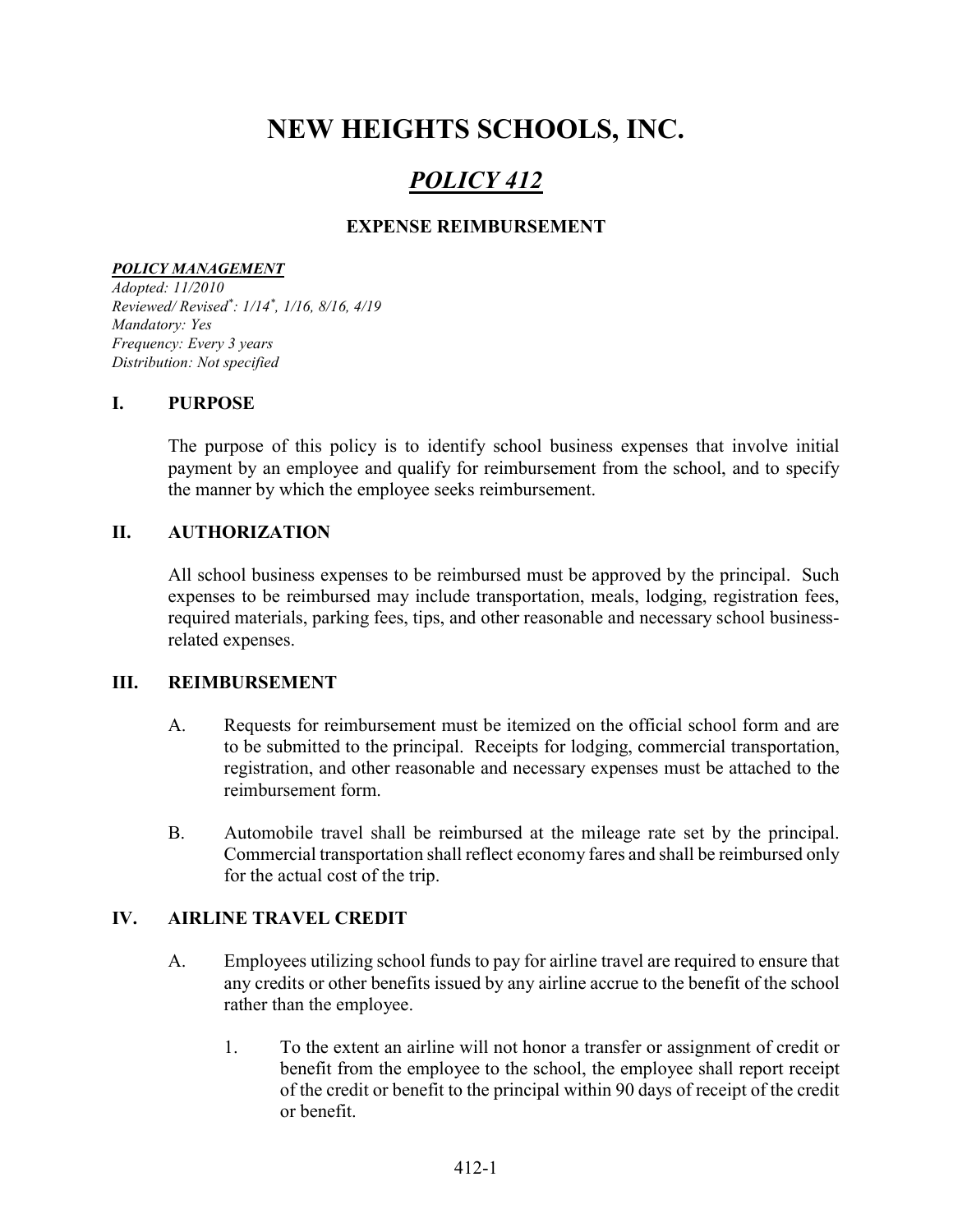# NEW HEIGHTS SCHOOLS, INC.

## POLICY 412

## EXPENSE REIMBURSEMENT

#### POLICY MANAGEMENT

Adopted: 11/2010 Reviewed/ Revised\* : 1/14\* , 1/16, 8/16, 4/19 Mandatory: Yes Frequency: Every 3 years Distribution: Not specified

#### I. PURPOSE

The purpose of this policy is to identify school business expenses that involve initial payment by an employee and qualify for reimbursement from the school, and to specify the manner by which the employee seeks reimbursement.

#### II. AUTHORIZATION

All school business expenses to be reimbursed must be approved by the principal. Such expenses to be reimbursed may include transportation, meals, lodging, registration fees, required materials, parking fees, tips, and other reasonable and necessary school businessrelated expenses.

#### III. REIMBURSEMENT

- A. Requests for reimbursement must be itemized on the official school form and are to be submitted to the principal. Receipts for lodging, commercial transportation, registration, and other reasonable and necessary expenses must be attached to the reimbursement form.
- B. Automobile travel shall be reimbursed at the mileage rate set by the principal. Commercial transportation shall reflect economy fares and shall be reimbursed only for the actual cost of the trip.

#### IV. AIRLINE TRAVEL CREDIT

- A. Employees utilizing school funds to pay for airline travel are required to ensure that any credits or other benefits issued by any airline accrue to the benefit of the school rather than the employee.
	- 1. To the extent an airline will not honor a transfer or assignment of credit or benefit from the employee to the school, the employee shall report receipt of the credit or benefit to the principal within 90 days of receipt of the credit or benefit.